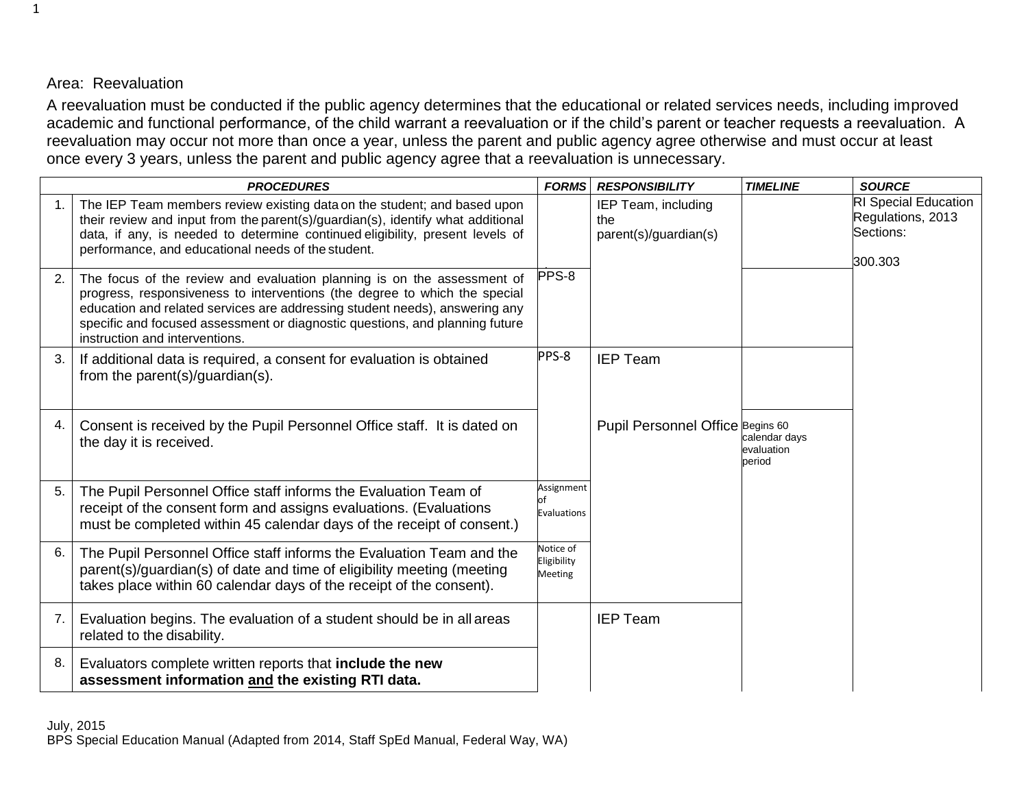## Area: Reevaluation

A reevaluation must be conducted if the public agency determines that the educational or related services needs, including improved academic and functional performance, of the child warrant a reevaluation or if the child's parent or teacher requests a reevaluation. A reevaluation may occur not more than once a year, unless the parent and public agency agree otherwise and must occur at least once every 3 years, unless the parent and public agency agree that a reevaluation is unnecessary.

|    | <b>PROCEDURES</b>                                                                                                                                                                                                                                                                                                                                      | <b>FORMS</b>                               | <b>RESPONSIBILITY</b>                               | <b>TIMELINE</b>                       | <b>SOURCE</b>                                                            |
|----|--------------------------------------------------------------------------------------------------------------------------------------------------------------------------------------------------------------------------------------------------------------------------------------------------------------------------------------------------------|--------------------------------------------|-----------------------------------------------------|---------------------------------------|--------------------------------------------------------------------------|
|    | The IEP Team members review existing data on the student; and based upon<br>their review and input from the parent(s)/guardian(s), identify what additional<br>data, if any, is needed to determine continued eligibility, present levels of<br>performance, and educational needs of the student.                                                     |                                            | IEP Team, including<br>the<br>parent(s)/guardian(s) |                                       | <b>RI Special Education</b><br>Regulations, 2013<br>Sections:<br>300.303 |
| 2. | The focus of the review and evaluation planning is on the assessment of<br>progress, responsiveness to interventions (the degree to which the special<br>education and related services are addressing student needs), answering any<br>specific and focused assessment or diagnostic questions, and planning future<br>instruction and interventions. | PPS-8                                      |                                                     |                                       |                                                                          |
| 3. | If additional data is required, a consent for evaluation is obtained<br>from the parent(s)/guardian(s).                                                                                                                                                                                                                                                | PPS-8                                      | <b>IEP Team</b>                                     |                                       |                                                                          |
| 4. | Consent is received by the Pupil Personnel Office staff. It is dated on<br>the day it is received.                                                                                                                                                                                                                                                     |                                            | Pupil Personnel Office Begins 60                    | calendar days<br>evaluation<br>period |                                                                          |
| 5. | The Pupil Personnel Office staff informs the Evaluation Team of<br>receipt of the consent form and assigns evaluations. (Evaluations<br>must be completed within 45 calendar days of the receipt of consent.)                                                                                                                                          | Assignment<br>Evaluations                  |                                                     |                                       |                                                                          |
| 6. | The Pupil Personnel Office staff informs the Evaluation Team and the<br>parent(s)/guardian(s) of date and time of eligibility meeting (meeting<br>takes place within 60 calendar days of the receipt of the consent).                                                                                                                                  | Notice of<br>Eligibility<br><b>Meeting</b> |                                                     |                                       |                                                                          |
| 7. | Evaluation begins. The evaluation of a student should be in all areas<br>related to the disability.                                                                                                                                                                                                                                                    |                                            | <b>IEP Team</b>                                     |                                       |                                                                          |
| 8. | Evaluators complete written reports that include the new<br>assessment information and the existing RTI data.                                                                                                                                                                                                                                          |                                            |                                                     |                                       |                                                                          |